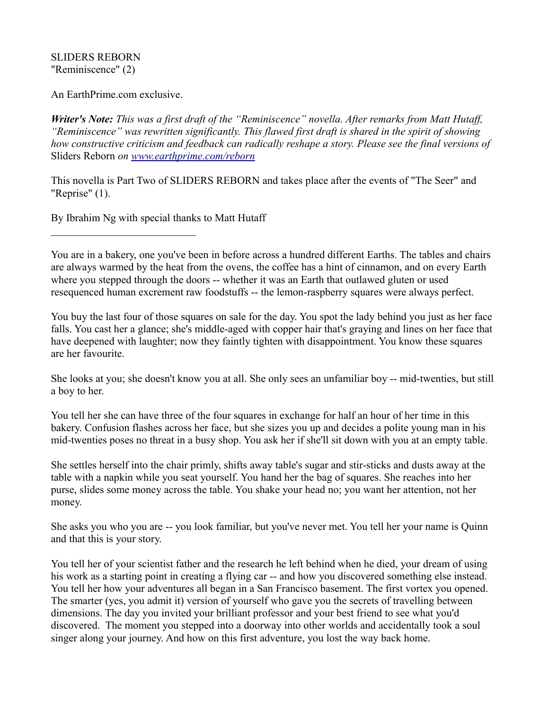## SLIDERS REBORN "Reminiscence" (2)

An EarthPrime.com exclusive.

*Writer's Note: This was a first draft of the "Reminiscence" novella. After remarks from Matt Hutaff, "Reminiscence" was rewritten significantly. This flawed first draft is shared in the spirit of showing how constructive criticism and feedback can radically reshape a story. Please see the final versions of*  Sliders Reborn *on [www.earthprime.com/reborn](http://www.earthprime.com/reborn)*

This novella is Part Two of SLIDERS REBORN and takes place after the events of "The Seer" and "Reprise" (1).

By Ibrahim Ng with special thanks to Matt Hutaff

You are in a bakery, one you've been in before across a hundred different Earths. The tables and chairs are always warmed by the heat from the ovens, the coffee has a hint of cinnamon, and on every Earth where you stepped through the doors -- whether it was an Earth that outlawed gluten or used resequenced human excrement raw foodstuffs -- the lemon-raspberry squares were always perfect.

You buy the last four of those squares on sale for the day. You spot the lady behind you just as her face falls. You cast her a glance; she's middle-aged with copper hair that's graying and lines on her face that have deepened with laughter; now they faintly tighten with disappointment. You know these squares are her favourite.

She looks at you; she doesn't know you at all. She only sees an unfamiliar boy -- mid-twenties, but still a boy to her.

You tell her she can have three of the four squares in exchange for half an hour of her time in this bakery. Confusion flashes across her face, but she sizes you up and decides a polite young man in his mid-twenties poses no threat in a busy shop. You ask her if she'll sit down with you at an empty table.

She settles herself into the chair primly, shifts away table's sugar and stir-sticks and dusts away at the table with a napkin while you seat yourself. You hand her the bag of squares. She reaches into her purse, slides some money across the table. You shake your head no; you want her attention, not her money.

She asks you who you are -- you look familiar, but you've never met. You tell her your name is Quinn and that this is your story.

You tell her of your scientist father and the research he left behind when he died, your dream of using his work as a starting point in creating a flying car -- and how you discovered something else instead. You tell her how your adventures all began in a San Francisco basement. The first vortex you opened. The smarter (yes, you admit it) version of yourself who gave you the secrets of travelling between dimensions. The day you invited your brilliant professor and your best friend to see what you'd discovered. The moment you stepped into a doorway into other worlds and accidentally took a soul singer along your journey. And how on this first adventure, you lost the way back home.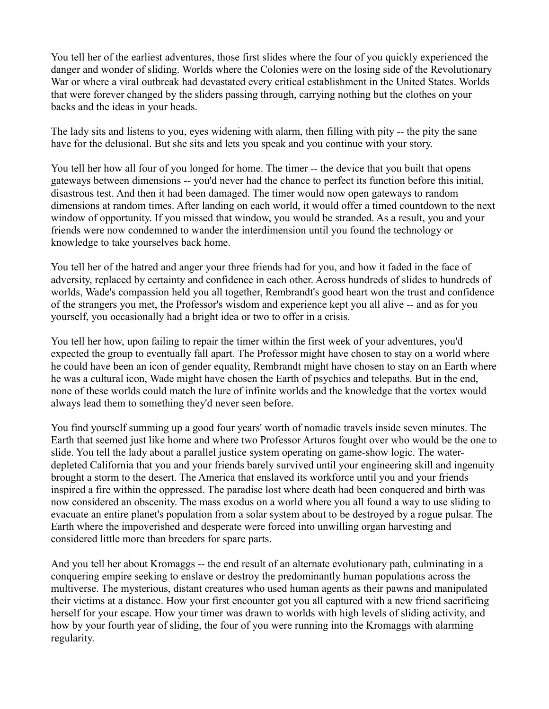You tell her of the earliest adventures, those first slides where the four of you quickly experienced the danger and wonder of sliding. Worlds where the Colonies were on the losing side of the Revolutionary War or where a viral outbreak had devastated every critical establishment in the United States. Worlds that were forever changed by the sliders passing through, carrying nothing but the clothes on your backs and the ideas in your heads.

The lady sits and listens to you, eyes widening with alarm, then filling with pity -- the pity the sane have for the delusional. But she sits and lets you speak and you continue with your story.

You tell her how all four of you longed for home. The timer -- the device that you built that opens gateways between dimensions -- you'd never had the chance to perfect its function before this initial, disastrous test. And then it had been damaged. The timer would now open gateways to random dimensions at random times. After landing on each world, it would offer a timed countdown to the next window of opportunity. If you missed that window, you would be stranded. As a result, you and your friends were now condemned to wander the interdimension until you found the technology or knowledge to take yourselves back home.

You tell her of the hatred and anger your three friends had for you, and how it faded in the face of adversity, replaced by certainty and confidence in each other. Across hundreds of slides to hundreds of worlds, Wade's compassion held you all together, Rembrandt's good heart won the trust and confidence of the strangers you met, the Professor's wisdom and experience kept you all alive -- and as for you yourself, you occasionally had a bright idea or two to offer in a crisis.

You tell her how, upon failing to repair the timer within the first week of your adventures, you'd expected the group to eventually fall apart. The Professor might have chosen to stay on a world where he could have been an icon of gender equality, Rembrandt might have chosen to stay on an Earth where he was a cultural icon, Wade might have chosen the Earth of psychics and telepaths. But in the end, none of these worlds could match the lure of infinite worlds and the knowledge that the vortex would always lead them to something they'd never seen before.

You find yourself summing up a good four years' worth of nomadic travels inside seven minutes. The Earth that seemed just like home and where two Professor Arturos fought over who would be the one to slide. You tell the lady about a parallel justice system operating on game-show logic. The waterdepleted California that you and your friends barely survived until your engineering skill and ingenuity brought a storm to the desert. The America that enslaved its workforce until you and your friends inspired a fire within the oppressed. The paradise lost where death had been conquered and birth was now considered an obscenity. The mass exodus on a world where you all found a way to use sliding to evacuate an entire planet's population from a solar system about to be destroyed by a rogue pulsar. The Earth where the impoverished and desperate were forced into unwilling organ harvesting and considered little more than breeders for spare parts.

And you tell her about Kromaggs -- the end result of an alternate evolutionary path, culminating in a conquering empire seeking to enslave or destroy the predominantly human populations across the multiverse. The mysterious, distant creatures who used human agents as their pawns and manipulated their victims at a distance. How your first encounter got you all captured with a new friend sacrificing herself for your escape. How your timer was drawn to worlds with high levels of sliding activity, and how by your fourth year of sliding, the four of you were running into the Kromaggs with alarming regularity.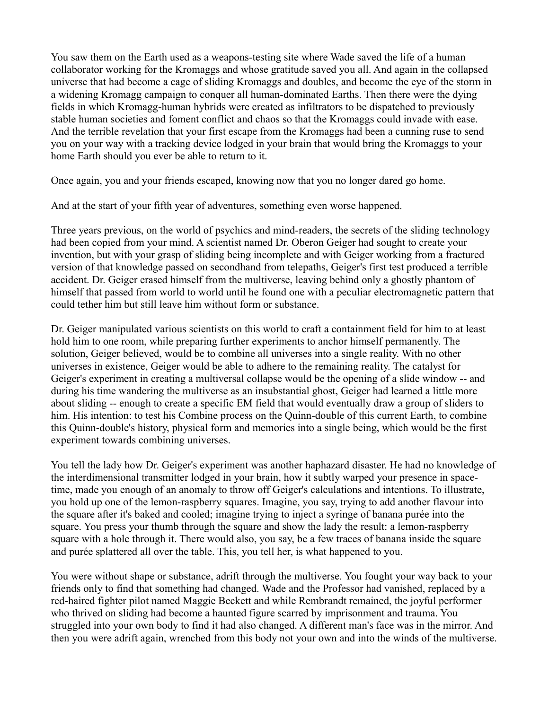You saw them on the Earth used as a weapons-testing site where Wade saved the life of a human collaborator working for the Kromaggs and whose gratitude saved you all. And again in the collapsed universe that had become a cage of sliding Kromaggs and doubles, and become the eye of the storm in a widening Kromagg campaign to conquer all human-dominated Earths. Then there were the dying fields in which Kromagg-human hybrids were created as infiltrators to be dispatched to previously stable human societies and foment conflict and chaos so that the Kromaggs could invade with ease. And the terrible revelation that your first escape from the Kromaggs had been a cunning ruse to send you on your way with a tracking device lodged in your brain that would bring the Kromaggs to your home Earth should you ever be able to return to it.

Once again, you and your friends escaped, knowing now that you no longer dared go home.

And at the start of your fifth year of adventures, something even worse happened.

Three years previous, on the world of psychics and mind-readers, the secrets of the sliding technology had been copied from your mind. A scientist named Dr. Oberon Geiger had sought to create your invention, but with your grasp of sliding being incomplete and with Geiger working from a fractured version of that knowledge passed on secondhand from telepaths, Geiger's first test produced a terrible accident. Dr. Geiger erased himself from the multiverse, leaving behind only a ghostly phantom of himself that passed from world to world until he found one with a peculiar electromagnetic pattern that could tether him but still leave him without form or substance.

Dr. Geiger manipulated various scientists on this world to craft a containment field for him to at least hold him to one room, while preparing further experiments to anchor himself permanently. The solution, Geiger believed, would be to combine all universes into a single reality. With no other universes in existence, Geiger would be able to adhere to the remaining reality. The catalyst for Geiger's experiment in creating a multiversal collapse would be the opening of a slide window -- and during his time wandering the multiverse as an insubstantial ghost, Geiger had learned a little more about sliding -- enough to create a specific EM field that would eventually draw a group of sliders to him. His intention: to test his Combine process on the Quinn-double of this current Earth, to combine this Quinn-double's history, physical form and memories into a single being, which would be the first experiment towards combining universes.

You tell the lady how Dr. Geiger's experiment was another haphazard disaster. He had no knowledge of the interdimensional transmitter lodged in your brain, how it subtly warped your presence in spacetime, made you enough of an anomaly to throw off Geiger's calculations and intentions. To illustrate, you hold up one of the lemon-raspberry squares. Imagine, you say, trying to add another flavour into the square after it's baked and cooled; imagine trying to inject a syringe of banana purée into the square. You press your thumb through the square and show the lady the result: a lemon-raspberry square with a hole through it. There would also, you say, be a few traces of banana inside the square and purée splattered all over the table. This, you tell her, is what happened to you.

You were without shape or substance, adrift through the multiverse. You fought your way back to your friends only to find that something had changed. Wade and the Professor had vanished, replaced by a red-haired fighter pilot named Maggie Beckett and while Rembrandt remained, the joyful performer who thrived on sliding had become a haunted figure scarred by imprisonment and trauma. You struggled into your own body to find it had also changed. A different man's face was in the mirror. And then you were adrift again, wrenched from this body not your own and into the winds of the multiverse.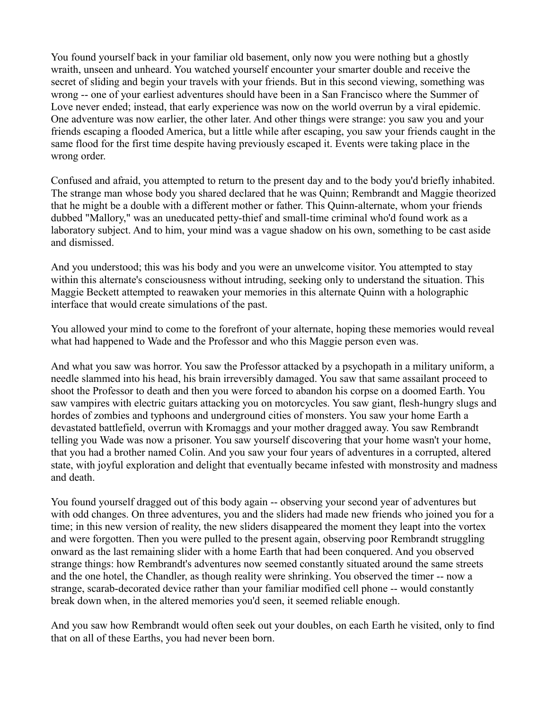You found yourself back in your familiar old basement, only now you were nothing but a ghostly wraith, unseen and unheard. You watched yourself encounter your smarter double and receive the secret of sliding and begin your travels with your friends. But in this second viewing, something was wrong -- one of your earliest adventures should have been in a San Francisco where the Summer of Love never ended; instead, that early experience was now on the world overrun by a viral epidemic. One adventure was now earlier, the other later. And other things were strange: you saw you and your friends escaping a flooded America, but a little while after escaping, you saw your friends caught in the same flood for the first time despite having previously escaped it. Events were taking place in the wrong order.

Confused and afraid, you attempted to return to the present day and to the body you'd briefly inhabited. The strange man whose body you shared declared that he was Quinn; Rembrandt and Maggie theorized that he might be a double with a different mother or father. This Quinn-alternate, whom your friends dubbed "Mallory," was an uneducated petty-thief and small-time criminal who'd found work as a laboratory subject. And to him, your mind was a vague shadow on his own, something to be cast aside and dismissed.

And you understood; this was his body and you were an unwelcome visitor. You attempted to stay within this alternate's consciousness without intruding, seeking only to understand the situation. This Maggie Beckett attempted to reawaken your memories in this alternate Quinn with a holographic interface that would create simulations of the past.

You allowed your mind to come to the forefront of your alternate, hoping these memories would reveal what had happened to Wade and the Professor and who this Maggie person even was.

And what you saw was horror. You saw the Professor attacked by a psychopath in a military uniform, a needle slammed into his head, his brain irreversibly damaged. You saw that same assailant proceed to shoot the Professor to death and then you were forced to abandon his corpse on a doomed Earth. You saw vampires with electric guitars attacking you on motorcycles. You saw giant, flesh-hungry slugs and hordes of zombies and typhoons and underground cities of monsters. You saw your home Earth a devastated battlefield, overrun with Kromaggs and your mother dragged away. You saw Rembrandt telling you Wade was now a prisoner. You saw yourself discovering that your home wasn't your home, that you had a brother named Colin. And you saw your four years of adventures in a corrupted, altered state, with joyful exploration and delight that eventually became infested with monstrosity and madness and death.

You found yourself dragged out of this body again -- observing your second year of adventures but with odd changes. On three adventures, you and the sliders had made new friends who joined you for a time; in this new version of reality, the new sliders disappeared the moment they leapt into the vortex and were forgotten. Then you were pulled to the present again, observing poor Rembrandt struggling onward as the last remaining slider with a home Earth that had been conquered. And you observed strange things: how Rembrandt's adventures now seemed constantly situated around the same streets and the one hotel, the Chandler, as though reality were shrinking. You observed the timer -- now a strange, scarab-decorated device rather than your familiar modified cell phone -- would constantly break down when, in the altered memories you'd seen, it seemed reliable enough.

And you saw how Rembrandt would often seek out your doubles, on each Earth he visited, only to find that on all of these Earths, you had never been born.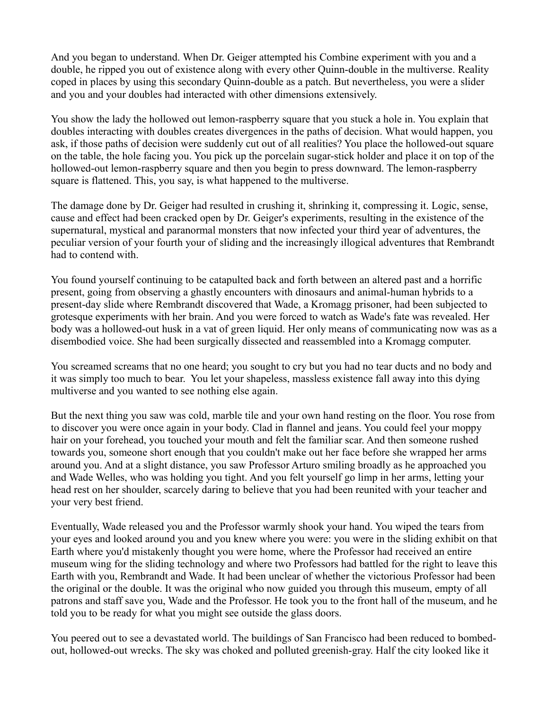And you began to understand. When Dr. Geiger attempted his Combine experiment with you and a double, he ripped you out of existence along with every other Quinn-double in the multiverse. Reality coped in places by using this secondary Quinn-double as a patch. But nevertheless, you were a slider and you and your doubles had interacted with other dimensions extensively.

You show the lady the hollowed out lemon-raspberry square that you stuck a hole in. You explain that doubles interacting with doubles creates divergences in the paths of decision. What would happen, you ask, if those paths of decision were suddenly cut out of all realities? You place the hollowed-out square on the table, the hole facing you. You pick up the porcelain sugar-stick holder and place it on top of the hollowed-out lemon-raspberry square and then you begin to press downward. The lemon-raspberry square is flattened. This, you say, is what happened to the multiverse.

The damage done by Dr. Geiger had resulted in crushing it, shrinking it, compressing it. Logic, sense, cause and effect had been cracked open by Dr. Geiger's experiments, resulting in the existence of the supernatural, mystical and paranormal monsters that now infected your third year of adventures, the peculiar version of your fourth your of sliding and the increasingly illogical adventures that Rembrandt had to contend with.

You found yourself continuing to be catapulted back and forth between an altered past and a horrific present, going from observing a ghastly encounters with dinosaurs and animal-human hybrids to a present-day slide where Rembrandt discovered that Wade, a Kromagg prisoner, had been subjected to grotesque experiments with her brain. And you were forced to watch as Wade's fate was revealed. Her body was a hollowed-out husk in a vat of green liquid. Her only means of communicating now was as a disembodied voice. She had been surgically dissected and reassembled into a Kromagg computer.

You screamed screams that no one heard; you sought to cry but you had no tear ducts and no body and it was simply too much to bear. You let your shapeless, massless existence fall away into this dying multiverse and you wanted to see nothing else again.

But the next thing you saw was cold, marble tile and your own hand resting on the floor. You rose from to discover you were once again in your body. Clad in flannel and jeans. You could feel your moppy hair on your forehead, you touched your mouth and felt the familiar scar. And then someone rushed towards you, someone short enough that you couldn't make out her face before she wrapped her arms around you. And at a slight distance, you saw Professor Arturo smiling broadly as he approached you and Wade Welles, who was holding you tight. And you felt yourself go limp in her arms, letting your head rest on her shoulder, scarcely daring to believe that you had been reunited with your teacher and your very best friend.

Eventually, Wade released you and the Professor warmly shook your hand. You wiped the tears from your eyes and looked around you and you knew where you were: you were in the sliding exhibit on that Earth where you'd mistakenly thought you were home, where the Professor had received an entire museum wing for the sliding technology and where two Professors had battled for the right to leave this Earth with you, Rembrandt and Wade. It had been unclear of whether the victorious Professor had been the original or the double. It was the original who now guided you through this museum, empty of all patrons and staff save you, Wade and the Professor. He took you to the front hall of the museum, and he told you to be ready for what you might see outside the glass doors.

You peered out to see a devastated world. The buildings of San Francisco had been reduced to bombedout, hollowed-out wrecks. The sky was choked and polluted greenish-gray. Half the city looked like it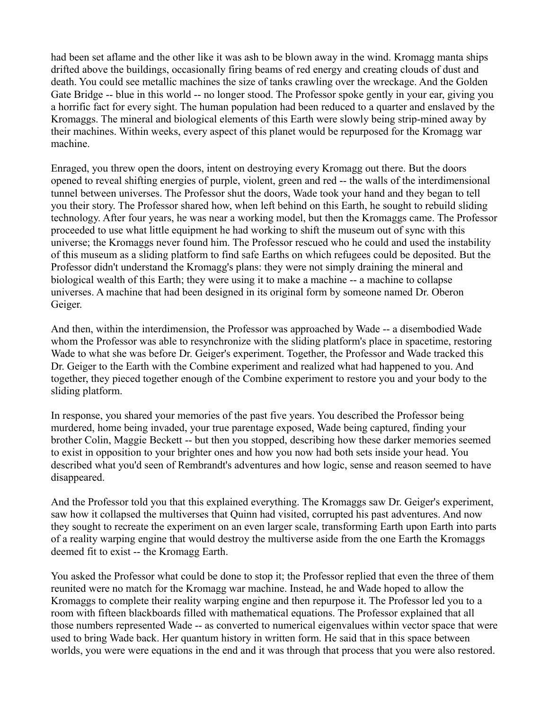had been set aflame and the other like it was ash to be blown away in the wind. Kromagg manta ships drifted above the buildings, occasionally firing beams of red energy and creating clouds of dust and death. You could see metallic machines the size of tanks crawling over the wreckage. And the Golden Gate Bridge -- blue in this world -- no longer stood. The Professor spoke gently in your ear, giving you a horrific fact for every sight. The human population had been reduced to a quarter and enslaved by the Kromaggs. The mineral and biological elements of this Earth were slowly being strip-mined away by their machines. Within weeks, every aspect of this planet would be repurposed for the Kromagg war machine.

Enraged, you threw open the doors, intent on destroying every Kromagg out there. But the doors opened to reveal shifting energies of purple, violent, green and red -- the walls of the interdimensional tunnel between universes. The Professor shut the doors, Wade took your hand and they began to tell you their story. The Professor shared how, when left behind on this Earth, he sought to rebuild sliding technology. After four years, he was near a working model, but then the Kromaggs came. The Professor proceeded to use what little equipment he had working to shift the museum out of sync with this universe; the Kromaggs never found him. The Professor rescued who he could and used the instability of this museum as a sliding platform to find safe Earths on which refugees could be deposited. But the Professor didn't understand the Kromagg's plans: they were not simply draining the mineral and biological wealth of this Earth; they were using it to make a machine -- a machine to collapse universes. A machine that had been designed in its original form by someone named Dr. Oberon Geiger.

And then, within the interdimension, the Professor was approached by Wade -- a disembodied Wade whom the Professor was able to resynchronize with the sliding platform's place in spacetime, restoring Wade to what she was before Dr. Geiger's experiment. Together, the Professor and Wade tracked this Dr. Geiger to the Earth with the Combine experiment and realized what had happened to you. And together, they pieced together enough of the Combine experiment to restore you and your body to the sliding platform.

In response, you shared your memories of the past five years. You described the Professor being murdered, home being invaded, your true parentage exposed, Wade being captured, finding your brother Colin, Maggie Beckett -- but then you stopped, describing how these darker memories seemed to exist in opposition to your brighter ones and how you now had both sets inside your head. You described what you'd seen of Rembrandt's adventures and how logic, sense and reason seemed to have disappeared.

And the Professor told you that this explained everything. The Kromaggs saw Dr. Geiger's experiment, saw how it collapsed the multiverses that Quinn had visited, corrupted his past adventures. And now they sought to recreate the experiment on an even larger scale, transforming Earth upon Earth into parts of a reality warping engine that would destroy the multiverse aside from the one Earth the Kromaggs deemed fit to exist -- the Kromagg Earth.

You asked the Professor what could be done to stop it; the Professor replied that even the three of them reunited were no match for the Kromagg war machine. Instead, he and Wade hoped to allow the Kromaggs to complete their reality warping engine and then repurpose it. The Professor led you to a room with fifteen blackboards filled with mathematical equations. The Professor explained that all those numbers represented Wade -- as converted to numerical eigenvalues within vector space that were used to bring Wade back. Her quantum history in written form. He said that in this space between worlds, you were were equations in the end and it was through that process that you were also restored.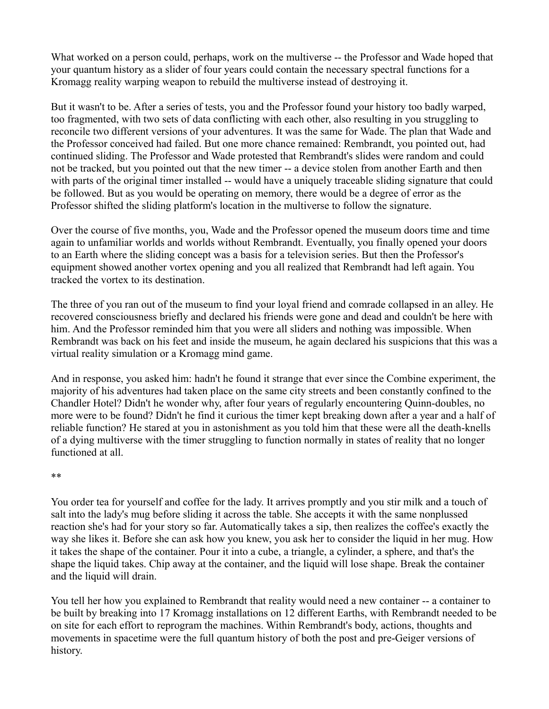What worked on a person could, perhaps, work on the multiverse -- the Professor and Wade hoped that your quantum history as a slider of four years could contain the necessary spectral functions for a Kromagg reality warping weapon to rebuild the multiverse instead of destroying it.

But it wasn't to be. After a series of tests, you and the Professor found your history too badly warped, too fragmented, with two sets of data conflicting with each other, also resulting in you struggling to reconcile two different versions of your adventures. It was the same for Wade. The plan that Wade and the Professor conceived had failed. But one more chance remained: Rembrandt, you pointed out, had continued sliding. The Professor and Wade protested that Rembrandt's slides were random and could not be tracked, but you pointed out that the new timer -- a device stolen from another Earth and then with parts of the original timer installed -- would have a uniquely traceable sliding signature that could be followed. But as you would be operating on memory, there would be a degree of error as the Professor shifted the sliding platform's location in the multiverse to follow the signature.

Over the course of five months, you, Wade and the Professor opened the museum doors time and time again to unfamiliar worlds and worlds without Rembrandt. Eventually, you finally opened your doors to an Earth where the sliding concept was a basis for a television series. But then the Professor's equipment showed another vortex opening and you all realized that Rembrandt had left again. You tracked the vortex to its destination.

The three of you ran out of the museum to find your loyal friend and comrade collapsed in an alley. He recovered consciousness briefly and declared his friends were gone and dead and couldn't be here with him. And the Professor reminded him that you were all sliders and nothing was impossible. When Rembrandt was back on his feet and inside the museum, he again declared his suspicions that this was a virtual reality simulation or a Kromagg mind game.

And in response, you asked him: hadn't he found it strange that ever since the Combine experiment, the majority of his adventures had taken place on the same city streets and been constantly confined to the Chandler Hotel? Didn't he wonder why, after four years of regularly encountering Quinn-doubles, no more were to be found? Didn't he find it curious the timer kept breaking down after a year and a half of reliable function? He stared at you in astonishment as you told him that these were all the death-knells of a dying multiverse with the timer struggling to function normally in states of reality that no longer functioned at all.

## \*\*

You order tea for yourself and coffee for the lady. It arrives promptly and you stir milk and a touch of salt into the lady's mug before sliding it across the table. She accepts it with the same nonplussed reaction she's had for your story so far. Automatically takes a sip, then realizes the coffee's exactly the way she likes it. Before she can ask how you knew, you ask her to consider the liquid in her mug. How it takes the shape of the container. Pour it into a cube, a triangle, a cylinder, a sphere, and that's the shape the liquid takes. Chip away at the container, and the liquid will lose shape. Break the container and the liquid will drain.

You tell her how you explained to Rembrandt that reality would need a new container -- a container to be built by breaking into 17 Kromagg installations on 12 different Earths, with Rembrandt needed to be on site for each effort to reprogram the machines. Within Rembrandt's body, actions, thoughts and movements in spacetime were the full quantum history of both the post and pre-Geiger versions of history.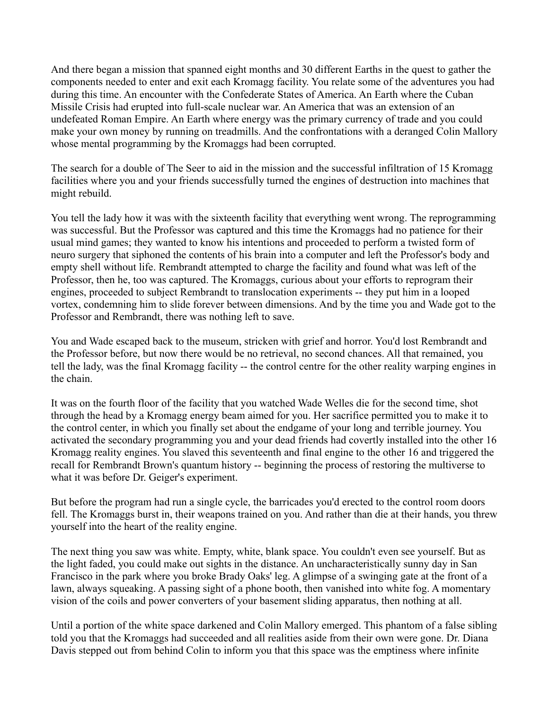And there began a mission that spanned eight months and 30 different Earths in the quest to gather the components needed to enter and exit each Kromagg facility. You relate some of the adventures you had during this time. An encounter with the Confederate States of America. An Earth where the Cuban Missile Crisis had erupted into full-scale nuclear war. An America that was an extension of an undefeated Roman Empire. An Earth where energy was the primary currency of trade and you could make your own money by running on treadmills. And the confrontations with a deranged Colin Mallory whose mental programming by the Kromaggs had been corrupted.

The search for a double of The Seer to aid in the mission and the successful infiltration of 15 Kromagg facilities where you and your friends successfully turned the engines of destruction into machines that might rebuild.

You tell the lady how it was with the sixteenth facility that everything went wrong. The reprogramming was successful. But the Professor was captured and this time the Kromaggs had no patience for their usual mind games; they wanted to know his intentions and proceeded to perform a twisted form of neuro surgery that siphoned the contents of his brain into a computer and left the Professor's body and empty shell without life. Rembrandt attempted to charge the facility and found what was left of the Professor, then he, too was captured. The Kromaggs, curious about your efforts to reprogram their engines, proceeded to subject Rembrandt to translocation experiments -- they put him in a looped vortex, condemning him to slide forever between dimensions. And by the time you and Wade got to the Professor and Rembrandt, there was nothing left to save.

You and Wade escaped back to the museum, stricken with grief and horror. You'd lost Rembrandt and the Professor before, but now there would be no retrieval, no second chances. All that remained, you tell the lady, was the final Kromagg facility -- the control centre for the other reality warping engines in the chain.

It was on the fourth floor of the facility that you watched Wade Welles die for the second time, shot through the head by a Kromagg energy beam aimed for you. Her sacrifice permitted you to make it to the control center, in which you finally set about the endgame of your long and terrible journey. You activated the secondary programming you and your dead friends had covertly installed into the other 16 Kromagg reality engines. You slaved this seventeenth and final engine to the other 16 and triggered the recall for Rembrandt Brown's quantum history -- beginning the process of restoring the multiverse to what it was before Dr. Geiger's experiment.

But before the program had run a single cycle, the barricades you'd erected to the control room doors fell. The Kromaggs burst in, their weapons trained on you. And rather than die at their hands, you threw yourself into the heart of the reality engine.

The next thing you saw was white. Empty, white, blank space. You couldn't even see yourself. But as the light faded, you could make out sights in the distance. An uncharacteristically sunny day in San Francisco in the park where you broke Brady Oaks' leg. A glimpse of a swinging gate at the front of a lawn, always squeaking. A passing sight of a phone booth, then vanished into white fog. A momentary vision of the coils and power converters of your basement sliding apparatus, then nothing at all.

Until a portion of the white space darkened and Colin Mallory emerged. This phantom of a false sibling told you that the Kromaggs had succeeded and all realities aside from their own were gone. Dr. Diana Davis stepped out from behind Colin to inform you that this space was the emptiness where infinite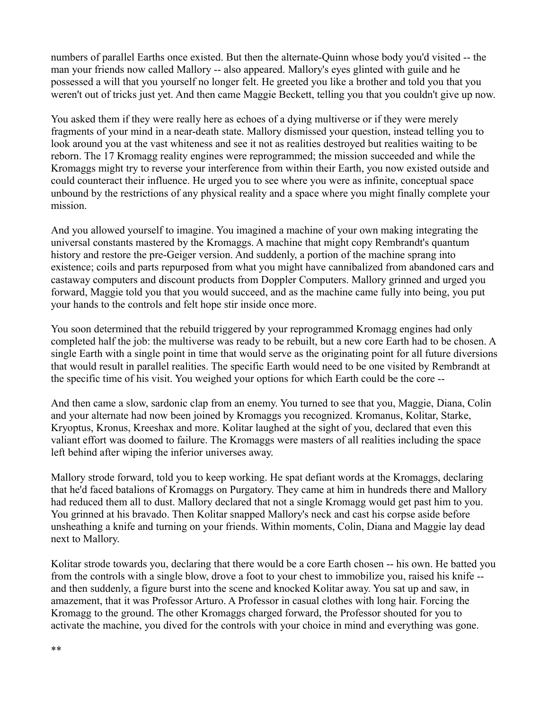numbers of parallel Earths once existed. But then the alternate-Quinn whose body you'd visited -- the man your friends now called Mallory -- also appeared. Mallory's eyes glinted with guile and he possessed a will that you yourself no longer felt. He greeted you like a brother and told you that you weren't out of tricks just yet. And then came Maggie Beckett, telling you that you couldn't give up now.

You asked them if they were really here as echoes of a dying multiverse or if they were merely fragments of your mind in a near-death state. Mallory dismissed your question, instead telling you to look around you at the vast whiteness and see it not as realities destroyed but realities waiting to be reborn. The 17 Kromagg reality engines were reprogrammed; the mission succeeded and while the Kromaggs might try to reverse your interference from within their Earth, you now existed outside and could counteract their influence. He urged you to see where you were as infinite, conceptual space unbound by the restrictions of any physical reality and a space where you might finally complete your mission.

And you allowed yourself to imagine. You imagined a machine of your own making integrating the universal constants mastered by the Kromaggs. A machine that might copy Rembrandt's quantum history and restore the pre-Geiger version. And suddenly, a portion of the machine sprang into existence; coils and parts repurposed from what you might have cannibalized from abandoned cars and castaway computers and discount products from Doppler Computers. Mallory grinned and urged you forward, Maggie told you that you would succeed, and as the machine came fully into being, you put your hands to the controls and felt hope stir inside once more.

You soon determined that the rebuild triggered by your reprogrammed Kromagg engines had only completed half the job: the multiverse was ready to be rebuilt, but a new core Earth had to be chosen. A single Earth with a single point in time that would serve as the originating point for all future diversions that would result in parallel realities. The specific Earth would need to be one visited by Rembrandt at the specific time of his visit. You weighed your options for which Earth could be the core --

And then came a slow, sardonic clap from an enemy. You turned to see that you, Maggie, Diana, Colin and your alternate had now been joined by Kromaggs you recognized. Kromanus, Kolitar, Starke, Kryoptus, Kronus, Kreeshax and more. Kolitar laughed at the sight of you, declared that even this valiant effort was doomed to failure. The Kromaggs were masters of all realities including the space left behind after wiping the inferior universes away.

Mallory strode forward, told you to keep working. He spat defiant words at the Kromaggs, declaring that he'd faced batalions of Kromaggs on Purgatory. They came at him in hundreds there and Mallory had reduced them all to dust. Mallory declared that not a single Kromagg would get past him to you. You grinned at his bravado. Then Kolitar snapped Mallory's neck and cast his corpse aside before unsheathing a knife and turning on your friends. Within moments, Colin, Diana and Maggie lay dead next to Mallory.

Kolitar strode towards you, declaring that there would be a core Earth chosen -- his own. He batted you from the controls with a single blow, drove a foot to your chest to immobilize you, raised his knife - and then suddenly, a figure burst into the scene and knocked Kolitar away. You sat up and saw, in amazement, that it was Professor Arturo. A Professor in casual clothes with long hair. Forcing the Kromagg to the ground. The other Kromaggs charged forward, the Professor shouted for you to activate the machine, you dived for the controls with your choice in mind and everything was gone.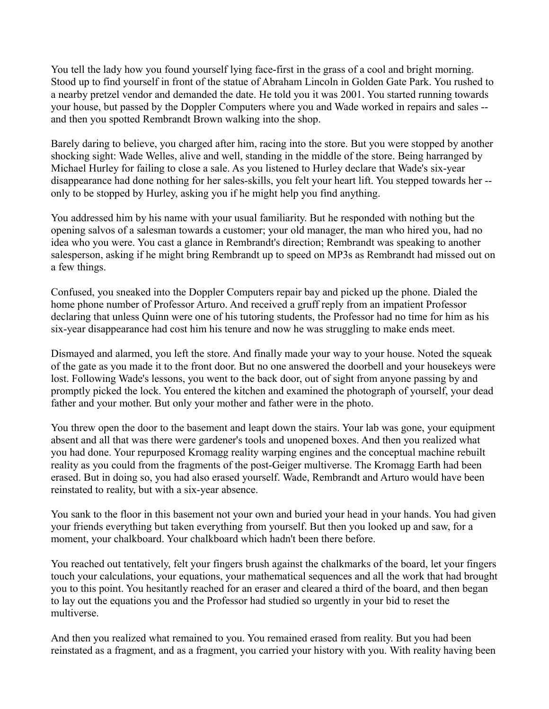You tell the lady how you found yourself lying face-first in the grass of a cool and bright morning. Stood up to find yourself in front of the statue of Abraham Lincoln in Golden Gate Park. You rushed to a nearby pretzel vendor and demanded the date. He told you it was 2001. You started running towards your house, but passed by the Doppler Computers where you and Wade worked in repairs and sales - and then you spotted Rembrandt Brown walking into the shop.

Barely daring to believe, you charged after him, racing into the store. But you were stopped by another shocking sight: Wade Welles, alive and well, standing in the middle of the store. Being harranged by Michael Hurley for failing to close a sale. As you listened to Hurley declare that Wade's six-year disappearance had done nothing for her sales-skills, you felt your heart lift. You stepped towards her - only to be stopped by Hurley, asking you if he might help you find anything.

You addressed him by his name with your usual familiarity. But he responded with nothing but the opening salvos of a salesman towards a customer; your old manager, the man who hired you, had no idea who you were. You cast a glance in Rembrandt's direction; Rembrandt was speaking to another salesperson, asking if he might bring Rembrandt up to speed on MP3s as Rembrandt had missed out on a few things.

Confused, you sneaked into the Doppler Computers repair bay and picked up the phone. Dialed the home phone number of Professor Arturo. And received a gruff reply from an impatient Professor declaring that unless Quinn were one of his tutoring students, the Professor had no time for him as his six-year disappearance had cost him his tenure and now he was struggling to make ends meet.

Dismayed and alarmed, you left the store. And finally made your way to your house. Noted the squeak of the gate as you made it to the front door. But no one answered the doorbell and your housekeys were lost. Following Wade's lessons, you went to the back door, out of sight from anyone passing by and promptly picked the lock. You entered the kitchen and examined the photograph of yourself, your dead father and your mother. But only your mother and father were in the photo.

You threw open the door to the basement and leapt down the stairs. Your lab was gone, your equipment absent and all that was there were gardener's tools and unopened boxes. And then you realized what you had done. Your repurposed Kromagg reality warping engines and the conceptual machine rebuilt reality as you could from the fragments of the post-Geiger multiverse. The Kromagg Earth had been erased. But in doing so, you had also erased yourself. Wade, Rembrandt and Arturo would have been reinstated to reality, but with a six-year absence.

You sank to the floor in this basement not your own and buried your head in your hands. You had given your friends everything but taken everything from yourself. But then you looked up and saw, for a moment, your chalkboard. Your chalkboard which hadn't been there before.

You reached out tentatively, felt your fingers brush against the chalkmarks of the board, let your fingers touch your calculations, your equations, your mathematical sequences and all the work that had brought you to this point. You hesitantly reached for an eraser and cleared a third of the board, and then began to lay out the equations you and the Professor had studied so urgently in your bid to reset the multiverse.

And then you realized what remained to you. You remained erased from reality. But you had been reinstated as a fragment, and as a fragment, you carried your history with you. With reality having been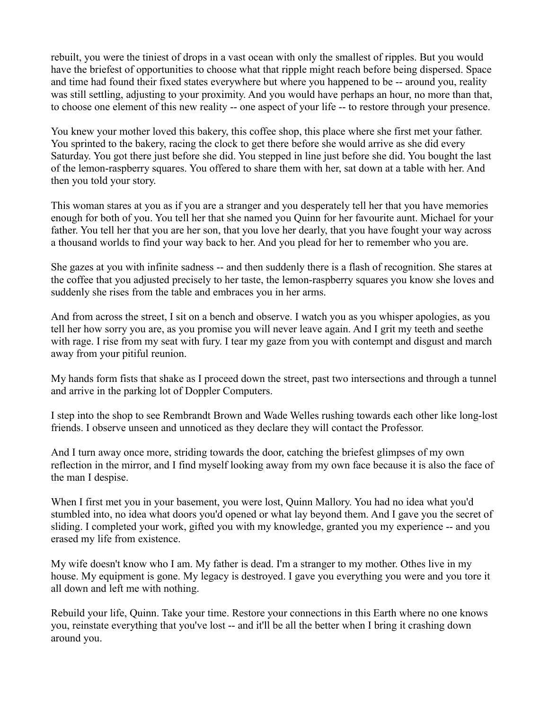rebuilt, you were the tiniest of drops in a vast ocean with only the smallest of ripples. But you would have the briefest of opportunities to choose what that ripple might reach before being dispersed. Space and time had found their fixed states everywhere but where you happened to be -- around you, reality was still settling, adjusting to your proximity. And you would have perhaps an hour, no more than that, to choose one element of this new reality -- one aspect of your life -- to restore through your presence.

You knew your mother loved this bakery, this coffee shop, this place where she first met your father. You sprinted to the bakery, racing the clock to get there before she would arrive as she did every Saturday. You got there just before she did. You stepped in line just before she did. You bought the last of the lemon-raspberry squares. You offered to share them with her, sat down at a table with her. And then you told your story.

This woman stares at you as if you are a stranger and you desperately tell her that you have memories enough for both of you. You tell her that she named you Quinn for her favourite aunt. Michael for your father. You tell her that you are her son, that you love her dearly, that you have fought your way across a thousand worlds to find your way back to her. And you plead for her to remember who you are.

She gazes at you with infinite sadness -- and then suddenly there is a flash of recognition. She stares at the coffee that you adjusted precisely to her taste, the lemon-raspberry squares you know she loves and suddenly she rises from the table and embraces you in her arms.

And from across the street, I sit on a bench and observe. I watch you as you whisper apologies, as you tell her how sorry you are, as you promise you will never leave again. And I grit my teeth and seethe with rage. I rise from my seat with fury. I tear my gaze from you with contempt and disgust and march away from your pitiful reunion.

My hands form fists that shake as I proceed down the street, past two intersections and through a tunnel and arrive in the parking lot of Doppler Computers.

I step into the shop to see Rembrandt Brown and Wade Welles rushing towards each other like long-lost friends. I observe unseen and unnoticed as they declare they will contact the Professor.

And I turn away once more, striding towards the door, catching the briefest glimpses of my own reflection in the mirror, and I find myself looking away from my own face because it is also the face of the man I despise.

When I first met you in your basement, you were lost, Quinn Mallory. You had no idea what you'd stumbled into, no idea what doors you'd opened or what lay beyond them. And I gave you the secret of sliding. I completed your work, gifted you with my knowledge, granted you my experience -- and you erased my life from existence.

My wife doesn't know who I am. My father is dead. I'm a stranger to my mother. Othes live in my house. My equipment is gone. My legacy is destroyed. I gave you everything you were and you tore it all down and left me with nothing.

Rebuild your life, Quinn. Take your time. Restore your connections in this Earth where no one knows you, reinstate everything that you've lost -- and it'll be all the better when I bring it crashing down around you.